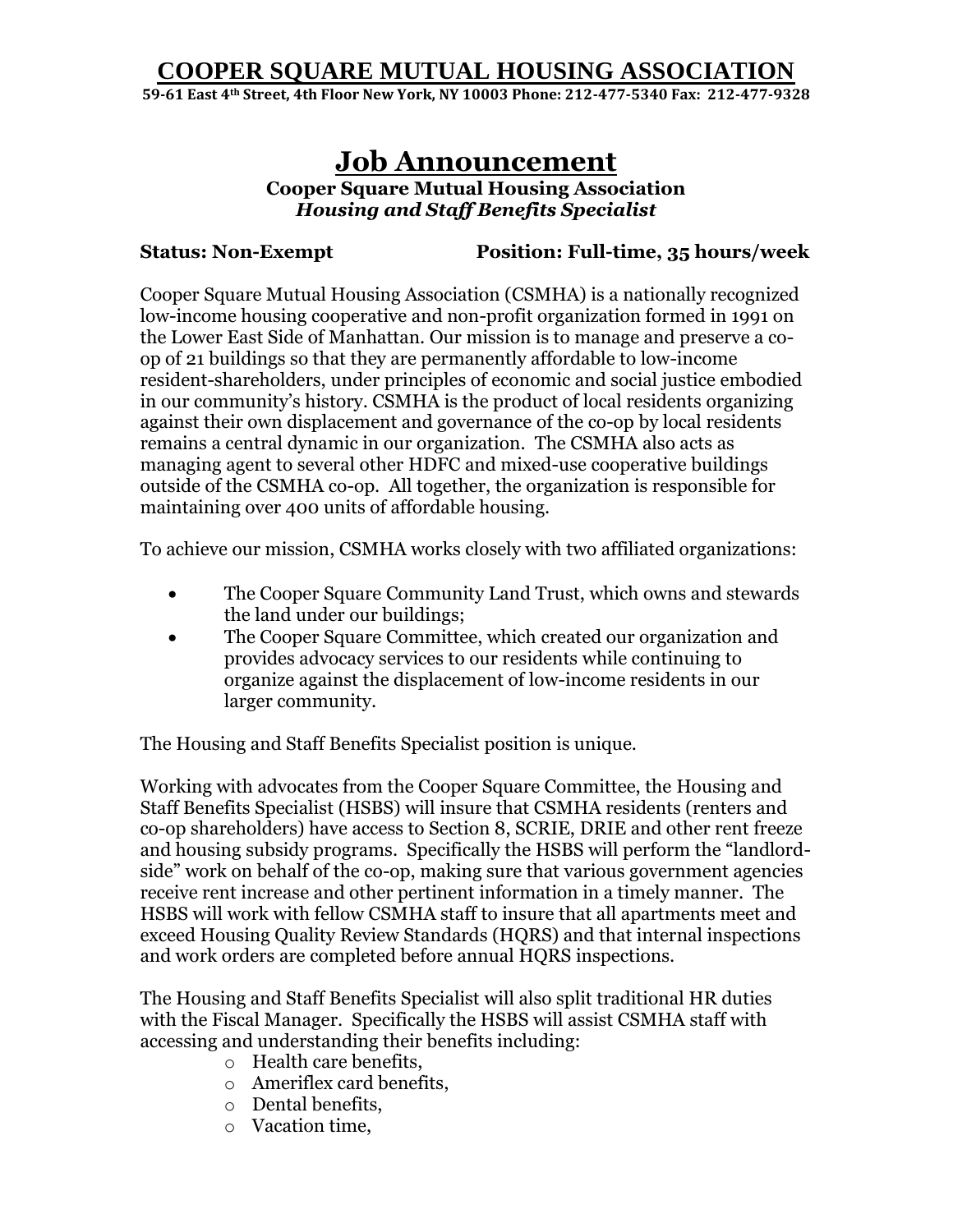**59-61 East 4th Street, 4th Floor New York, NY 10003 Phone: 212-477-5340 Fax: 212-477-9328**

# **Job Announcement**

**Cooper Square Mutual Housing Association**  *Housing and Staff Benefits Specialist*

**Status: Non-Exempt Position: Full-time, 35 hours/week**

Cooper Square Mutual Housing Association (CSMHA) is a nationally recognized low-income housing cooperative and non-profit organization formed in 1991 on the Lower East Side of Manhattan. Our mission is to manage and preserve a coop of 21 buildings so that they are permanently affordable to low-income resident-shareholders, under principles of economic and social justice embodied in our community's history. CSMHA is the product of local residents organizing against their own displacement and governance of the co-op by local residents remains a central dynamic in our organization. The CSMHA also acts as managing agent to several other HDFC and mixed-use cooperative buildings outside of the CSMHA co-op. All together, the organization is responsible for maintaining over 400 units of affordable housing.

To achieve our mission, CSMHA works closely with two affiliated organizations:

- The Cooper Square Community Land Trust, which owns and stewards the land under our buildings;
- The Cooper Square Committee, which created our organization and provides advocacy services to our residents while continuing to organize against the displacement of low-income residents in our larger community.

The Housing and Staff Benefits Specialist position is unique.

Working with advocates from the Cooper Square Committee, the Housing and Staff Benefits Specialist (HSBS) will insure that CSMHA residents (renters and co-op shareholders) have access to Section 8, SCRIE, DRIE and other rent freeze and housing subsidy programs. Specifically the HSBS will perform the "landlordside" work on behalf of the co-op, making sure that various government agencies receive rent increase and other pertinent information in a timely manner. The HSBS will work with fellow CSMHA staff to insure that all apartments meet and exceed Housing Quality Review Standards (HQRS) and that internal inspections and work orders are completed before annual HQRS inspections.

The Housing and Staff Benefits Specialist will also split traditional HR duties with the Fiscal Manager. Specifically the HSBS will assist CSMHA staff with accessing and understanding their benefits including:

- o Health care benefits,
- o Ameriflex card benefits,
- o Dental benefits,
- o Vacation time,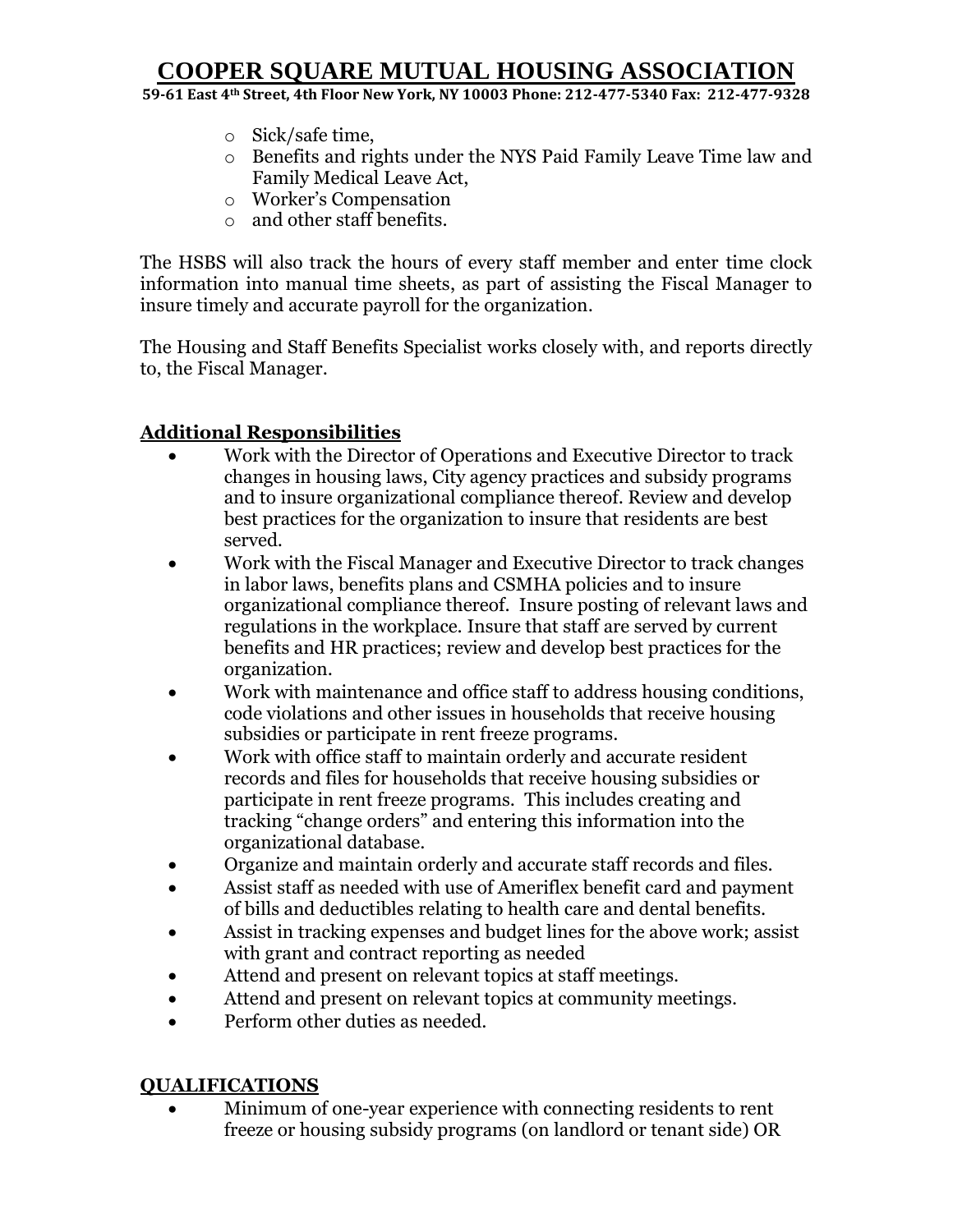**59-61 East 4th Street, 4th Floor New York, NY 10003 Phone: 212-477-5340 Fax: 212-477-9328**

- o Sick/safe time,
- o Benefits and rights under the NYS Paid Family Leave Time law and Family Medical Leave Act,
- o Worker's Compensation
- o and other staff benefits.

The HSBS will also track the hours of every staff member and enter time clock information into manual time sheets, as part of assisting the Fiscal Manager to insure timely and accurate payroll for the organization.

The Housing and Staff Benefits Specialist works closely with, and reports directly to, the Fiscal Manager.

### **Additional Responsibilities**

- Work with the Director of Operations and Executive Director to track changes in housing laws, City agency practices and subsidy programs and to insure organizational compliance thereof. Review and develop best practices for the organization to insure that residents are best served.
- Work with the Fiscal Manager and Executive Director to track changes in labor laws, benefits plans and CSMHA policies and to insure organizational compliance thereof. Insure posting of relevant laws and regulations in the workplace. Insure that staff are served by current benefits and HR practices; review and develop best practices for the organization.
- Work with maintenance and office staff to address housing conditions, code violations and other issues in households that receive housing subsidies or participate in rent freeze programs.
- Work with office staff to maintain orderly and accurate resident records and files for households that receive housing subsidies or participate in rent freeze programs. This includes creating and tracking "change orders" and entering this information into the organizational database.
- Organize and maintain orderly and accurate staff records and files.
- Assist staff as needed with use of Ameriflex benefit card and payment of bills and deductibles relating to health care and dental benefits.
- Assist in tracking expenses and budget lines for the above work; assist with grant and contract reporting as needed
- Attend and present on relevant topics at staff meetings.
- Attend and present on relevant topics at community meetings.
- Perform other duties as needed.

#### **QUALIFICATIONS**

 Minimum of one-year experience with connecting residents to rent freeze or housing subsidy programs (on landlord or tenant side) OR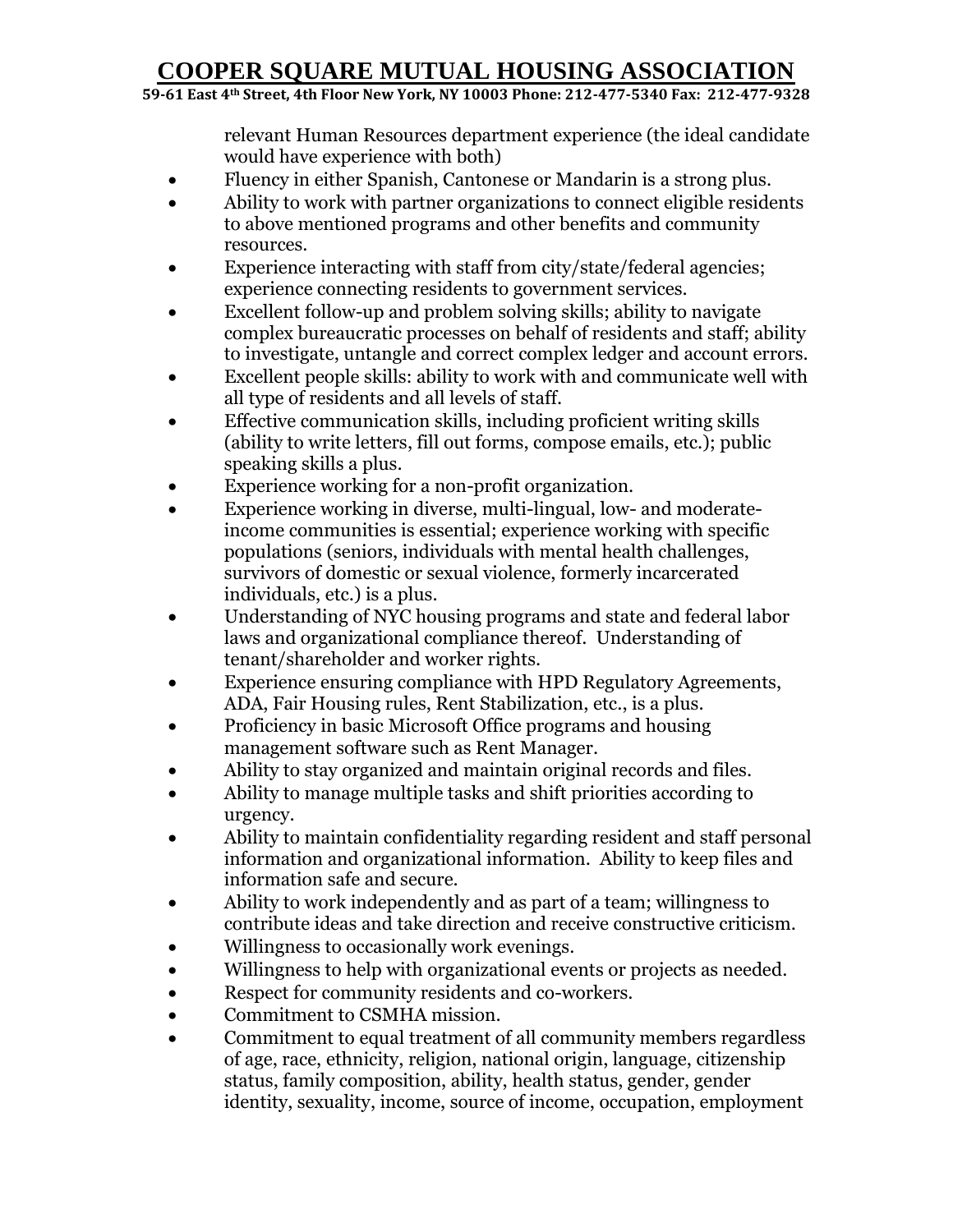**59-61 East 4th Street, 4th Floor New York, NY 10003 Phone: 212-477-5340 Fax: 212-477-9328**

relevant Human Resources department experience (the ideal candidate would have experience with both)

- Fluency in either Spanish, Cantonese or Mandarin is a strong plus.
- Ability to work with partner organizations to connect eligible residents to above mentioned programs and other benefits and community resources.
- Experience interacting with staff from city/state/federal agencies; experience connecting residents to government services.
- Excellent follow-up and problem solving skills; ability to navigate complex bureaucratic processes on behalf of residents and staff; ability to investigate, untangle and correct complex ledger and account errors.
- Excellent people skills: ability to work with and communicate well with all type of residents and all levels of staff.
- Effective communication skills, including proficient writing skills (ability to write letters, fill out forms, compose emails, etc.); public speaking skills a plus.
- Experience working for a non-profit organization.
- Experience working in diverse, multi-lingual, low- and moderateincome communities is essential; experience working with specific populations (seniors, individuals with mental health challenges, survivors of domestic or sexual violence, formerly incarcerated individuals, etc.) is a plus.
- Understanding of NYC housing programs and state and federal labor laws and organizational compliance thereof. Understanding of tenant/shareholder and worker rights.
- Experience ensuring compliance with HPD Regulatory Agreements, ADA, Fair Housing rules, Rent Stabilization, etc., is a plus.
- Proficiency in basic Microsoft Office programs and housing management software such as Rent Manager.
- Ability to stay organized and maintain original records and files.
- Ability to manage multiple tasks and shift priorities according to urgency.
- Ability to maintain confidentiality regarding resident and staff personal information and organizational information. Ability to keep files and information safe and secure.
- Ability to work independently and as part of a team; willingness to contribute ideas and take direction and receive constructive criticism.
- Willingness to occasionally work evenings.
- Willingness to help with organizational events or projects as needed.
- Respect for community residents and co-workers.
- Commitment to CSMHA mission.
- Commitment to equal treatment of all community members regardless of age, race, ethnicity, religion, national origin, language, citizenship status, family composition, ability, health status, gender, gender identity, sexuality, income, source of income, occupation, employment